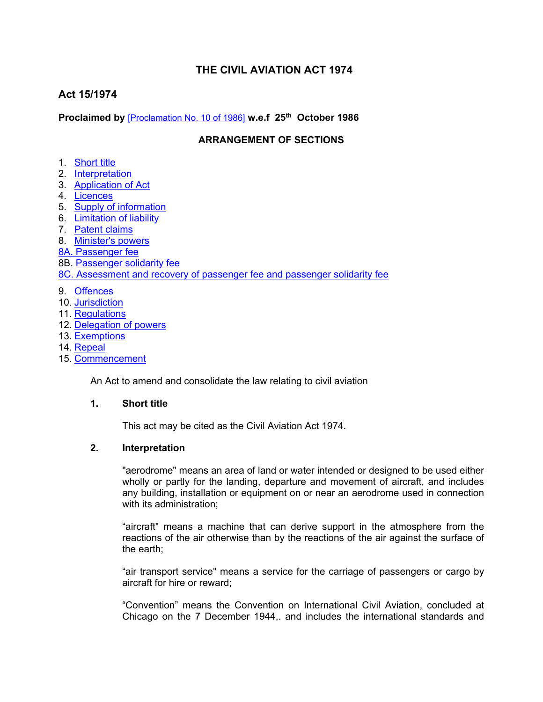# **THE CIVIL AVIATION ACT 1974**

# **Act 15/1974**

**Proclaimed by** [\[Proclamation](https://supremecourt.govmu.org/_layouts/CLIS.DMS/search/searchdocumentbykey.aspx?ID=%5BProclamation%20No.%2010%20of%201986%5D&list=Legislations) No. 10 of 1986] **w.e.f 25th October 1986**

### **ARRANGEMENT OF SECTIONS**

- 1. [Short](#page-0-0) title
- 2. [Interpretation](#page-0-1)
- 3. [Application](#page-1-0) of Act
- 4. [Licences](#page-1-1)
- 5. Supply of [information](#page-1-2)
- 6. [Limitation](#page-2-0) of liability
- 7. [Patent](#page-2-1) claims
- 8. [Minister's](#page-3-0) powers
- 8A. [Passenger](#page-3-1) fee
- 8B. [Passenger](#page-4-0) solidarity fee
- 8C. [Assessment](#page-5-0) and recovery of passenger fee and passenger solidarity fee
- 9. [Offences](#page-5-1)
- 10. [Jurisdiction](#page-6-0)
- 11. [Regulations](#page-6-1)
- 12. [Delegation](#page-7-0) of powers
- 13. [Exemptions](#page-7-1)
- 14. [Repeal](#page-7-2)
- 15. [Commencement](#page-8-0)

An Act to amend and consolidate the law relating to civil aviation

#### **1. Short title**

<span id="page-0-1"></span><span id="page-0-0"></span>This act may be cited as the Civil Aviation Act 1974.

#### **2. Interpretation**

"aerodrome" means an area of land or water intended or designed to be used either wholly or partly for the landing, departure and movement of aircraft, and includes any building, installation or equipment on or near an aerodrome used in connection with its administration;

"aircraft" means a machine that can derive support in the atmosphere from the reactions of the air otherwise than by the reactions of the air against the surface of the earth;

"air transport service" means a service for the carriage of passengers or cargo by aircraft for hire or reward;

"Convention" means the Convention on International Civil Aviation, concluded at Chicago on the 7 December 1944,. and includes the international standards and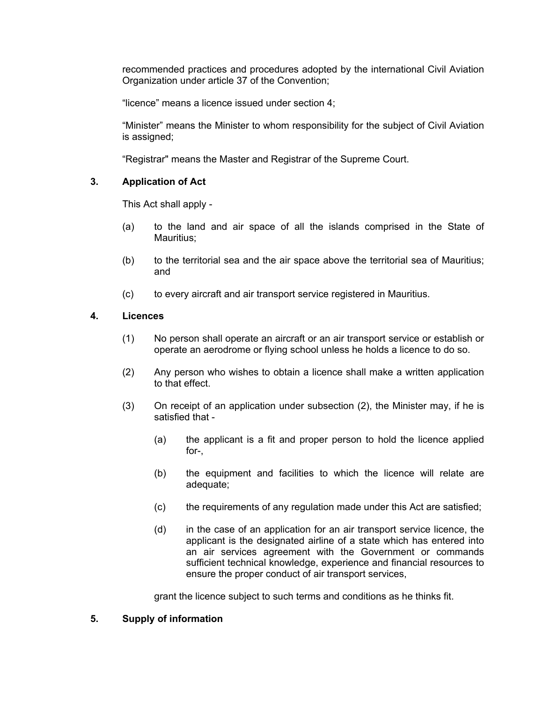recommended practices and procedures adopted by the international Civil Aviation Organization under article 37 of the Convention;

"licence" means a licence issued under section 4;

"Minister" means the Minister to whom responsibility for the subject of Civil Aviation is assigned;

<span id="page-1-0"></span>"Registrar" means the Master and Registrar of the Supreme Court.

#### **3. Application of Act**

This Act shall apply -

- (a) to the land and air space of all the islands comprised in the State of Mauritius;
- (b) to the territorial sea and the air space above the territorial sea of Mauritius; and
- (c) to every aircraft and air transport service registered in Mauritius.

#### <span id="page-1-1"></span>**4. Licences**

- (1) No person shall operate an aircraft or an air transport service or establish or operate an aerodrome or flying school unless he holds a licence to do so.
- (2) Any person who wishes to obtain a licence shall make a written application to that effect.
- (3) On receipt of an application under subsection (2), the Minister may, if he is satisfied that -
	- (a) the applicant is a fit and proper person to hold the licence applied for-,
	- (b) the equipment and facilities to which the licence will relate are adequate;
	- (c) the requirements of any regulation made under this Act are satisfied;
	- (d) in the case of an application for an air transport service licence, the applicant is the designated airline of a state which has entered into an air services agreement with the Government or commands sufficient technical knowledge, experience and financial resources to ensure the proper conduct of air transport services,

grant the licence subject to such terms and conditions as he thinks fit.

#### <span id="page-1-2"></span>**5. Supply of information**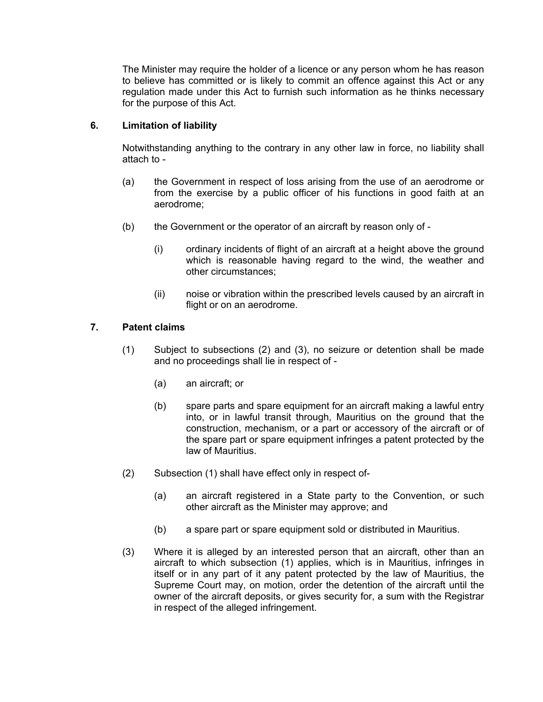The Minister may require the holder of a licence or any person whom he has reason to believe has committed or is likely to commit an offence against this Act or any regulation made under this Act to furnish such information as he thinks necessary for the purpose of this Act.

#### **6. Limitation of liability**

<span id="page-2-0"></span>Notwithstanding anything to the contrary in any other law in force, no liability shall attach to -

- (a) the Government in respect of loss arising from the use of an aerodrome or from the exercise by a public officer of his functions in good faith at an aerodrome;
- (b) the Government or the operator of an aircraft by reason only of
	- (i) ordinary incidents of flight of an aircraft at a height above the ground which is reasonable having regard to the wind, the weather and other circumstances;
	- (ii) noise or vibration within the prescribed levels caused by an aircraft in flight or on an aerodrome.

## **7. Patent claims**

- <span id="page-2-1"></span>(1) Subject to subsections (2) and (3), no seizure or detention shall be made and no proceedings shall lie in respect of -
	- (a) an aircraft; or
	- (b) spare parts and spare equipment for an aircraft making a lawful entry into, or in lawful transit through, Mauritius on the ground that the construction, mechanism, or a part or accessory of the aircraft or of the spare part or spare equipment infringes a patent protected by the law of Mauritius.
- (2) Subsection (1) shall have effect only in respect of-
	- (a) an aircraft registered in a State party to the Convention, or such other aircraft as the Minister may approve; and
	- (b) a spare part or spare equipment sold or distributed in Mauritius.
- (3) Where it is alleged by an interested person that an aircraft, other than an aircraft to which subsection (1) applies, which is in Mauritius, infringes in itself or in any part of it any patent protected by the law of Mauritius, the Supreme Court may, on motion, order the detention of the aircraft until the owner of the aircraft deposits, or gives security for, a sum with the Registrar in respect of the alleged infringement.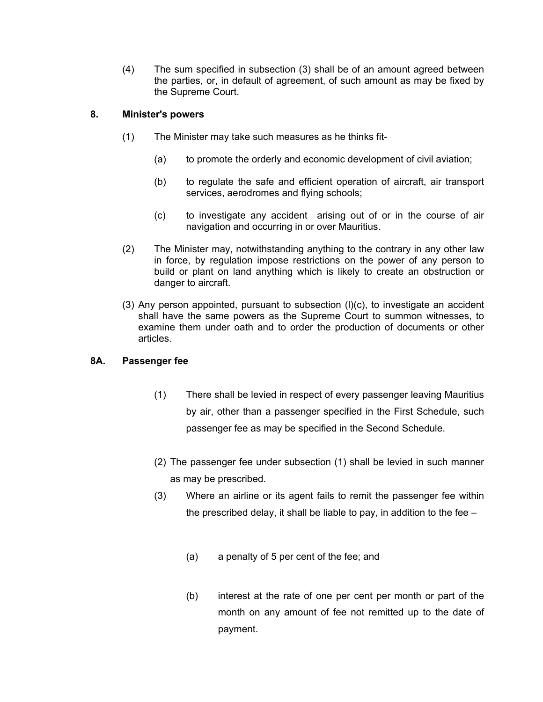(4) The sum specified in subsection (3) shall be of an amount agreed between the parties, or, in default of agreement, of such amount as may be fixed by the Supreme Court.

## **8. Minister's powers**

- <span id="page-3-0"></span>(1) The Minister may take such measures as he thinks fit-
	- (a) to promote the orderly and economic development of civil aviation;
	- (b) to regulate the safe and efficient operation of aircraft, air transport services, aerodromes and flying schools;
	- (c) to investigate any accident arising out of or in the course of air navigation and occurring in or over Mauritius.
- (2) The Minister may, notwithstanding anything to the contrary in any other law in force, by regulation impose restrictions on the power of any person to build or plant on land anything which is likely to create an obstruction or danger to aircraft.
- (3) Any person appointed, pursuant to subsection (l)(c), to investigate an accident shall have the same powers as the Supreme Court to summon witnesses, to examine them under oath and to order the production of documents or other articles.

# <span id="page-3-1"></span>**8A. Passenger fee**

- (1) There shall be levied in respect of every passenger leaving Mauritius by air, other than a passenger specified in the First Schedule, such passenger fee as may be specified in the Second Schedule.
- (2) The passenger fee under subsection (1) shall be levied in such manner as may be prescribed.
- (3) Where an airline or its agent fails to remit the passenger fee within the prescribed delay, it shall be liable to pay, in addition to the fee –
	- (a) a penalty of 5 per cent of the fee; and
	- (b) interest at the rate of one per cent per month or part of the month on any amount of fee not remitted up to the date of payment.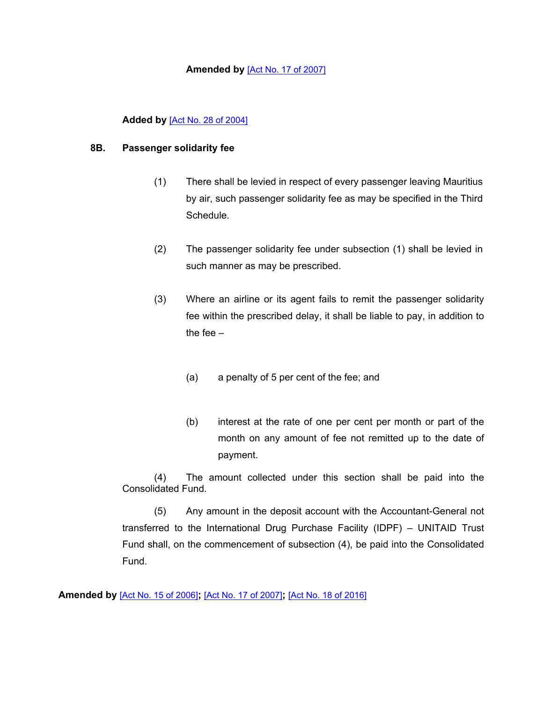#### **Amended by** [Act No. 17 of [2007\]](https://supremecourt.govmu.org/_layouts/CLIS.DMS/search/searchdocumentbykey.aspx?ID=%5BAct%20No.%2017%20of%202007%5D&list=Legislations)

#### **Added by** [Act No. 28 of [2004\]](https://supremecourt.govmu.org/_layouts/CLIS.DMS/search/searchdocumentbykey.aspx?ID=%5BAct%20No.%2028%20of%202004%5D&list=Legislations)

#### <span id="page-4-0"></span>**8B. Passenger solidarity fee**

- (1) There shall be levied in respect of every passenger leaving Mauritius by air, such passenger solidarity fee as may be specified in the Third Schedule.
- (2) The passenger solidarity fee under subsection (1) shall be levied in such manner as may be prescribed.
- (3) Where an airline or its agent fails to remit the passenger solidarity fee within the prescribed delay, it shall be liable to pay, in addition to the fee –
	- (a) a penalty of 5 per cent of the fee; and
	- (b) interest at the rate of one per cent per month or part of the month on any amount of fee not remitted up to the date of payment.

(4) The amount collected under this section shall be paid into the Consolidated Fund.

(5) Any amount in the deposit account with the Accountant-General not transferred to the International Drug Purchase Facility (IDPF) – UNITAID Trust Fund shall, on the commencement of subsection (4), be paid into the Consolidated Fund.

**Amended by** [Act No. 15 of [2006\]](https://supremecourt.govmu.org/_layouts/CLIS.DMS/search/searchdocumentbykey.aspx?ID=%5BAct%20No.%2015%20of%202006%5D&list=Legislations)**;** [Act No. 17 of [2007\]](https://supremecourt.govmu.org/_layouts/CLIS.DMS/search/searchdocumentbykey.aspx?ID=%5BAct%20No.%2017%20of%202007%5D&list=Legislations)**;** [Act No. 18 of [2016\]](https://supremecourt.govmu.org/_layouts/CLIS.DMS/search/searchdocumentbykey.aspx?ID=%5BAct%20No.%2018%20of%202016%5D&list=Legislations)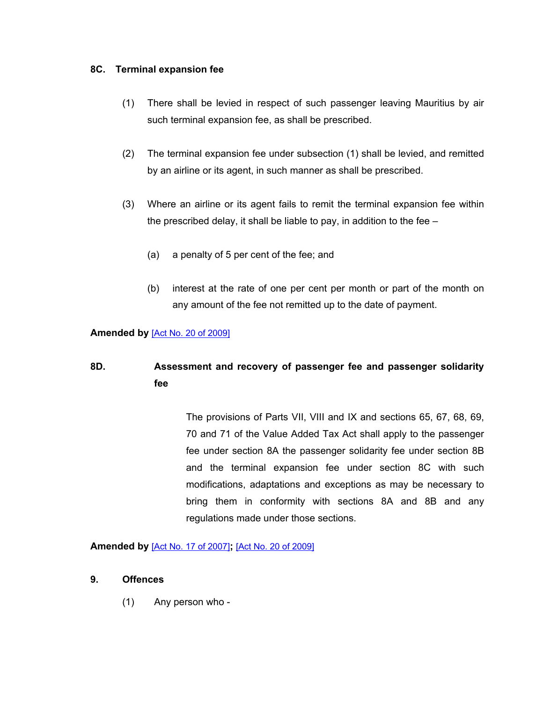#### **8C. Terminal expansion fee**

- (1) There shall be levied in respect of such passenger leaving Mauritius by air such terminal expansion fee, as shall be prescribed.
- (2) The terminal expansion fee under subsection (1) shall be levied, and remitted by an airline or its agent, in such manner as shall be prescribed.
- (3) Where an airline or its agent fails to remit the terminal expansion fee within the prescribed delay, it shall be liable to pay, in addition to the fee –
	- (a) a penalty of 5 per cent of the fee; and
	- (b) interest at the rate of one per cent per month or part of the month on any amount of the fee not remitted up to the date of payment.

#### **Amended by** [Act No. 20 of [2009\]](https://supremecourt.govmu.org/_layouts/CLIS.DMS/search/searchdocumentbykey.aspx?ID=%5BAct%20No.%2020%20of%202009%5D&list=Legislations)

# <span id="page-5-0"></span>**8D. Assessment and recovery of passenger fee and passenger solidarity fee**

The provisions of Parts VII, VIII and IX and sections 65, 67, 68, 69, 70 and 71 of the Value Added Tax Act shall apply to the passenger fee under section 8A the passenger solidarity fee under section 8B and the terminal expansion fee under section 8C with such modifications, adaptations and exceptions as may be necessary to bring them in conformity with sections 8A and 8B and any regulations made under those sections.

**Amended by** [Act No. 17 of [2007\]](https://supremecourt.govmu.org/_layouts/CLIS.DMS/search/searchdocumentbykey.aspx?ID=%5BAct%20No.%2017%20of%202007%5D&list=Legislations)**;** [Act No. 20 of [2009\]](https://supremecourt.govmu.org/_layouts/CLIS.DMS/search/searchdocumentbykey.aspx?ID=%5BAct%20No.%2020%20of%202009%5D&list=Legislations)

#### <span id="page-5-1"></span>**9. Offences**

(1) Any person who -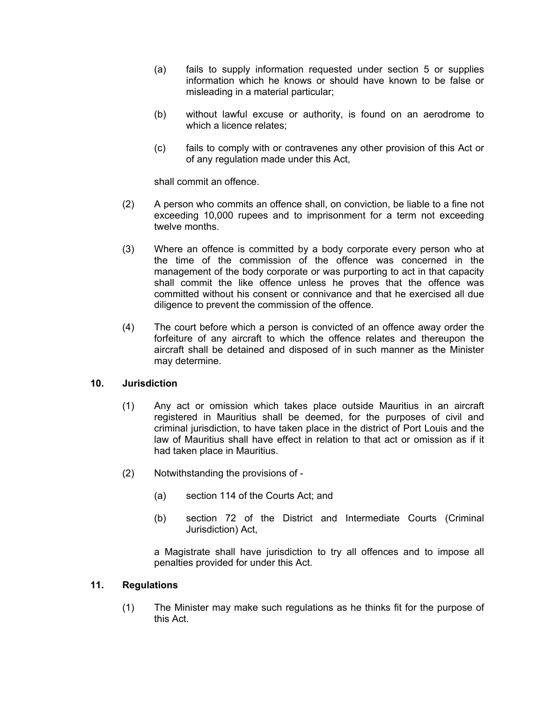- (a) fails to supply information requested under section 5 or supplies information which he knows or should have known to be false or misleading in a material particular;
- (b) without lawful excuse or authority, is found on an aerodrome to which a licence relates;
- (c) fails to comply with or contravenes any other provision of this Act or of any regulation made under this Act,

shall commit an offence.

- (2) A person who commits an offence shall, on conviction, be liable to a fine not exceeding 10,000 rupees and to imprisonment for a term not exceeding twelve months.
- (3) Where an offence is committed by a body corporate every person who at the time of the commission of the offence was concerned in the management of the body corporate or was purporting to act in that capacity shall commit the like offence unless he proves that the offence was committed without his consent or connivance and that he exercised all due diligence to prevent the commission of the offence.
- (4) The court before which a person is convicted of an offence away order the forfeiture of any aircraft to which the offence relates and thereupon the aircraft shall be detained and disposed of in such manner as the Minister may determine.

#### **10. Jurisdiction**

- <span id="page-6-0"></span>(1) Any act or omission which takes place outside Mauritius in an aircraft registered in Mauritius shall be deemed, for the purposes of civil and criminal jurisdiction, to have taken place in the district of Port Louis and the law of Mauritius shall have effect in relation to that act or omission as if it had taken place in Mauritius.
- (2) Notwithstanding the provisions of
	- (a) section 114 of the Courts Act; and
	- (b) section 72 of the District and Intermediate Courts (Criminal Jurisdiction) Act,

a Magistrate shall have jurisdiction to try all offences and to impose all penalties provided for under this Act.

#### **11. Regulations**

<span id="page-6-1"></span>(1) The Minister may make such regulations as he thinks fit for the purpose of this Act.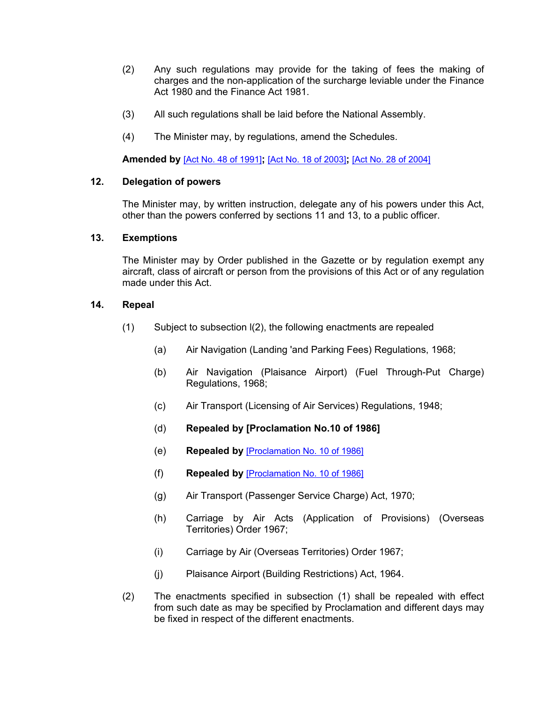- (2) Any such regulations may provide for the taking of fees the making of charges and the non-application of the surcharge leviable under the Finance Act 1980 and the Finance Act 1981.
- (3) All such regulations shall be laid before the National Assembly.
- (4) The Minister may, by regulations, amend the Schedules.

<span id="page-7-0"></span>**Amended by** [Act No. 48 of [1991\]](https://supremecourt.govmu.org/_layouts/CLIS.DMS/search/searchdocumentbykey.aspx?ID=%5BAct%20No.%2048%20of%201991%5D&list=Legislations)**;** [Act No. 18 of [2003\]](https://supremecourt.govmu.org/_layouts/CLIS.DMS/search/searchdocumentbykey.aspx?ID=%5BAct%20No.%2018%20of%202003%5D&list=Legislations)**;** [Act No. 28 of [2004\]](https://supremecourt.govmu.org/_layouts/CLIS.DMS/search/searchdocumentbykey.aspx?ID=%5BAct%20No.%2028%20of%202004%5D&list=Legislations)

#### **12. Delegation of powers**

The Minister may, by written instruction, delegate any of his powers under this Act, other than the powers conferred by sections 11 and 13, to a public officer.

#### <span id="page-7-1"></span>**13. Exemptions**

The Minister may by Order published in the Gazette or by regulation exempt any aircraft, class of aircraft or person from the provisions of this Act or of any regulation made under this Act.

#### **14. Repeal**

- <span id="page-7-2"></span>(1) Subject to subsection l(2), the following enactments are repealed
	- (a) Air Navigation (Landing 'and Parking Fees) Regulations, 1968;
	- (b) Air Navigation (Plaisance Airport) (Fuel Through-Put Charge) Regulations, 1968;
	- (c) Air Transport (Licensing of Air Services) Regulations, 1948;
	- (d) **Repealed by [Proclamation No.10 of 1986]**
	- (e) **Repealed by** [\[Proclamation](https://supremecourt.govmu.org/_layouts/CLIS.DMS/search/searchdocumentbykey.aspx?ID=%5BProclamation%20No.%2010%20of%201986%5D&list=Legislations) No. 10 of 1986]
	- (f) **Repealed by** [\[Proclamation](https://supremecourt.govmu.org/_layouts/CLIS.DMS/search/searchdocumentbykey.aspx?ID=%5BProclamation%20No.%2010%20of%201986%5D&list=Legislations) No. 10 of 1986]
	- (g) Air Transport (Passenger Service Charge) Act, 1970;
	- (h) Carriage by Air Acts (Application of Provisions) (Overseas Territories) Order 1967;
	- (i) Carriage by Air (Overseas Territories) Order 1967;
	- (j) Plaisance Airport (Building Restrictions) Act, 1964.
- (2) The enactments specified in subsection (1) shall be repealed with effect from such date as may be specified by Proclamation and different days may be fixed in respect of the different enactments.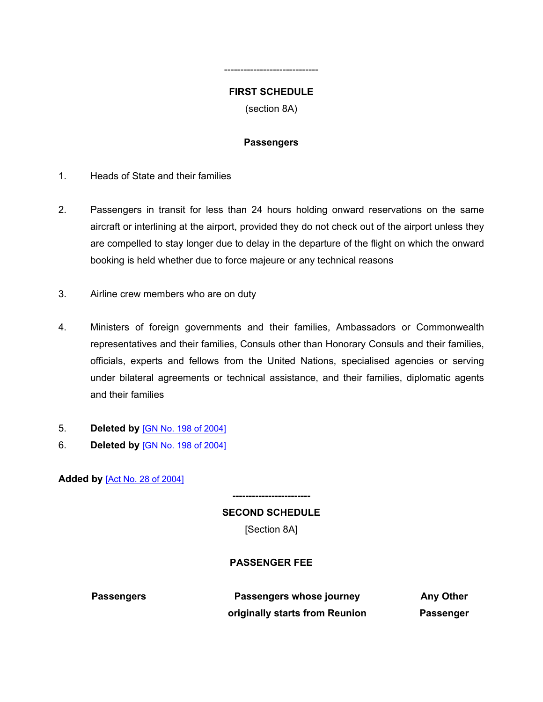## <span id="page-8-0"></span>**FIRST SCHEDULE**

-----------------------------

(section 8A)

### **Passengers**

- 1. Heads of State and their families
- 2. Passengers in transit for less than 24 hours holding onward reservations on the same aircraft or interlining at the airport, provided they do not check out of the airport unless they are compelled to stay longer due to delay in the departure of the flight on which the onward booking is held whether due to force majeure or any technical reasons
- 3. Airline crew members who are on duty
- 4. Ministers of foreign governments and their families, Ambassadors or Commonwealth representatives and their families, Consuls other than Honorary Consuls and their families, officials, experts and fellows from the United Nations, specialised agencies or serving under bilateral agreements or technical assistance, and their families, diplomatic agents and their families
- 5. **Deleted by** [GN No. 198 of [2004\]](https://supremecourt.govmu.org/_layouts/CLIS.DMS/search/searchdocumentbykey.aspx?ID=%5BGN%20No.%20198%20of%202004%5D&list=Legislations)
- 6. **Deleted by** [GN No. 198 of [2004\]](https://supremecourt.govmu.org/_layouts/CLIS.DMS/search/searchdocumentbykey.aspx?ID=%5BGN%20No.%20198%20of%202004%5D&list=Legislations)

**Added by** [Act No. 28 of [2004\]](https://supremecourt.govmu.org/_layouts/CLIS.DMS/search/searchdocumentbykey.aspx?ID=%5BAct%20No.%2028%20of%202004%5D&list=Legislations)

**SECOND SCHEDULE** [Section 8A]

**------------------------**

#### **PASSENGER FEE**

**Passengers Passengers whose journey originally starts from Reunion**

**Any Other Passenger**